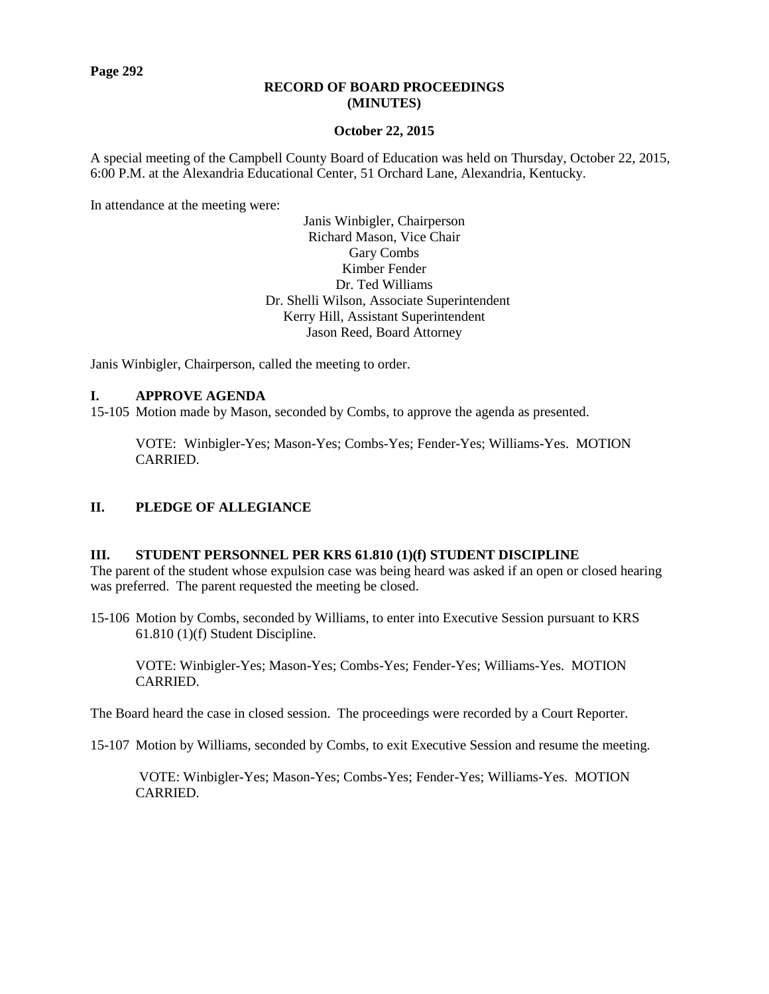**Page 292**

### **RECORD OF BOARD PROCEEDINGS (MINUTES)**

### **October 22, 2015**

A special meeting of the Campbell County Board of Education was held on Thursday, October 22, 2015, 6:00 P.M. at the Alexandria Educational Center, 51 Orchard Lane, Alexandria, Kentucky.

In attendance at the meeting were:

Janis Winbigler, Chairperson Richard Mason, Vice Chair Gary Combs Kimber Fender Dr. Ted Williams Dr. Shelli Wilson, Associate Superintendent Kerry Hill, Assistant Superintendent Jason Reed, Board Attorney

Janis Winbigler, Chairperson, called the meeting to order.

## **I. APPROVE AGENDA**

15-105 Motion made by Mason, seconded by Combs, to approve the agenda as presented.

VOTE: Winbigler-Yes; Mason-Yes; Combs-Yes; Fender-Yes; Williams-Yes. MOTION CARRIED.

## **II. PLEDGE OF ALLEGIANCE**

#### **III. STUDENT PERSONNEL PER KRS 61.810 (1)(f) STUDENT DISCIPLINE**

The parent of the student whose expulsion case was being heard was asked if an open or closed hearing was preferred. The parent requested the meeting be closed.

15-106 Motion by Combs, seconded by Williams, to enter into Executive Session pursuant to KRS 61.810 (1)(f) Student Discipline.

VOTE: Winbigler-Yes; Mason-Yes; Combs-Yes; Fender-Yes; Williams-Yes. MOTION CARRIED.

The Board heard the case in closed session. The proceedings were recorded by a Court Reporter.

15-107 Motion by Williams, seconded by Combs, to exit Executive Session and resume the meeting.

VOTE: Winbigler-Yes; Mason-Yes; Combs-Yes; Fender-Yes; Williams-Yes. MOTION CARRIED.